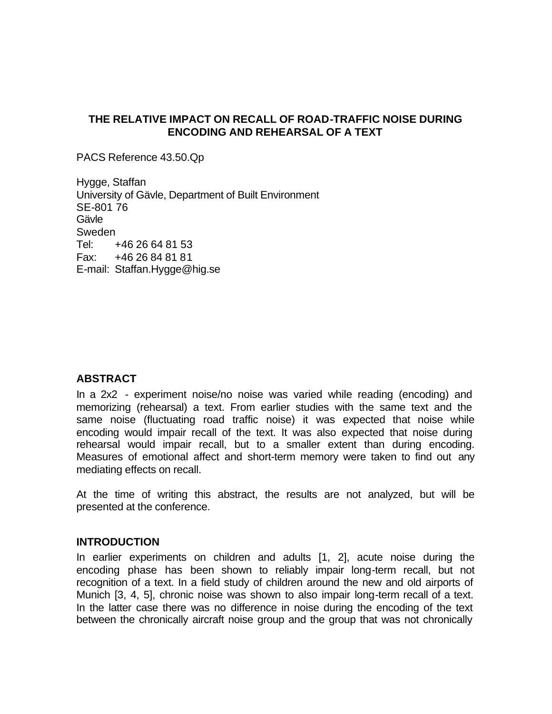# **THE RELATIVE IMPACT ON RECALL OF ROAD-TRAFFIC NOISE DURING ENCODING AND REHEARSAL OF A TEXT**

PACS Reference 43.50.Qp

Hygge, Staffan University of Gävle, Department of Built Environment SE-801 76 Gävle Sweden Tel: +46 26 64 81 53 Fax: +46 26 84 81 81 E-mail: Staffan.Hygge@hig.se

## **ABSTRACT**

In a 2x2 - experiment noise/no noise was varied while reading (encoding) and memorizing (rehearsal) a text. From earlier studies with the same text and the same noise (fluctuating road traffic noise) it was expected that noise while encoding would impair recall of the text. It was also expected that noise during rehearsal would impair recall, but to a smaller extent than during encoding. Measures of emotional affect and short-term memory were taken to find out any mediating effects on recall.

At the time of writing this abstract, the results are not analyzed, but will be presented at the conference.

#### **INTRODUCTION**

In earlier experiments on children and adults [1, 2], acute noise during the encoding phase has been shown to reliably impair long-term recall, but not recognition of a text. In a field study of children around the new and old airports of Munich [3, 4, 5], chronic noise was shown to also impair long-term recall of a text. In the latter case there was no difference in noise during the encoding of the text between the chronically aircraft noise group and the group that was not chronically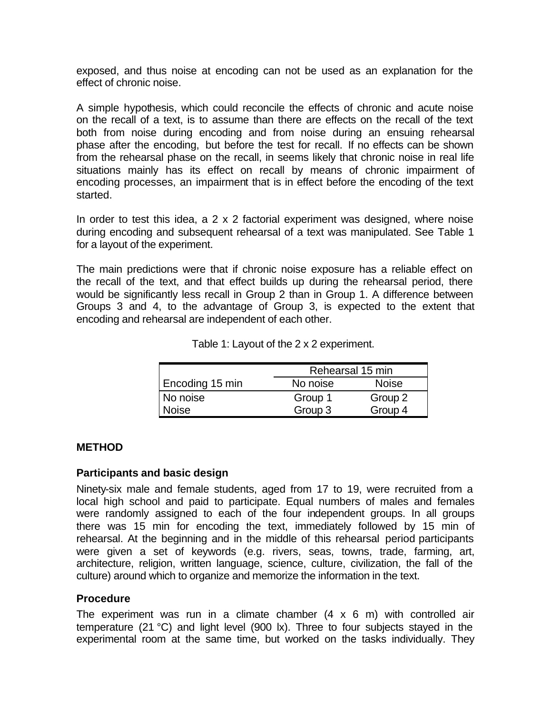exposed, and thus noise at encoding can not be used as an explanation for the effect of chronic noise.

A simple hypothesis, which could reconcile the effects of chronic and acute noise on the recall of a text, is to assume than there are effects on the recall of the text both from noise during encoding and from noise during an ensuing rehearsal phase after the encoding, but before the test for recall. If no effects can be shown from the rehearsal phase on the recall, in seems likely that chronic noise in real life situations mainly has its effect on recall by means of chronic impairment of encoding processes, an impairment that is in effect before the encoding of the text started.

In order to test this idea, a 2 x 2 factorial experiment was designed, where noise during encoding and subsequent rehearsal of a text was manipulated. See Table 1 for a layout of the experiment.

The main predictions were that if chronic noise exposure has a reliable effect on the recall of the text, and that effect builds up during the rehearsal period, there would be significantly less recall in Group 2 than in Group 1. A difference between Groups 3 and 4, to the advantage of Group 3, is expected to the extent that encoding and rehearsal are independent of each other.

|                 | Rehearsal 15 min |              |
|-----------------|------------------|--------------|
| Encoding 15 min | No noise         | <b>Noise</b> |
| No noise        | Group 1          | Group 2      |
| <b>Noise</b>    | Group 3          | Group 4      |

Table 1: Layout of the 2 x 2 experiment.

## **METHOD**

#### **Participants and basic design**

Ninety-six male and female students, aged from 17 to 19, were recruited from a local high school and paid to participate. Equal numbers of males and females were randomly assigned to each of the four independent groups. In all groups there was 15 min for encoding the text, immediately followed by 15 min of rehearsal. At the beginning and in the middle of this rehearsal period participants were given a set of keywords (e.g. rivers, seas, towns, trade, farming, art, architecture, religion, written language, science, culture, civilization, the fall of the culture) around which to organize and memorize the information in the text.

## **Procedure**

The experiment was run in a climate chamber  $(4 \times 6 \text{ m})$  with controlled air temperature (21 °C) and light level (900 lx). Three to four subjects stayed in the experimental room at the same time, but worked on the tasks individually. They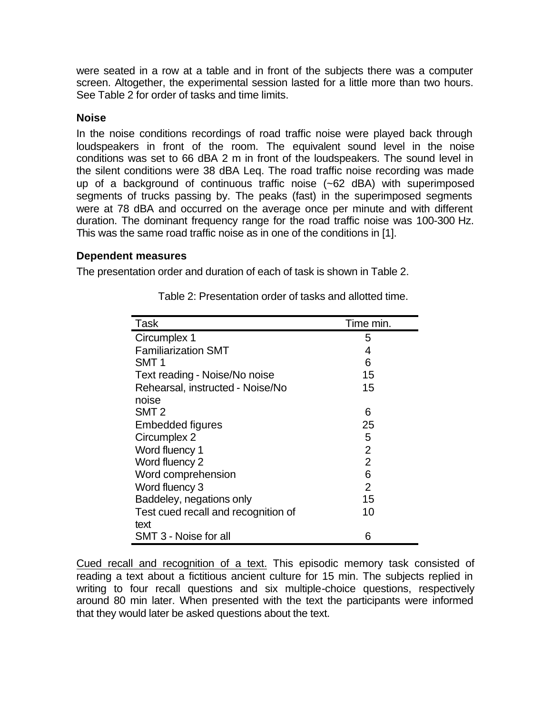were seated in a row at a table and in front of the subjects there was a computer screen. Altogether, the experimental session lasted for a little more than two hours. See Table 2 for order of tasks and time limits.

# **Noise**

In the noise conditions recordings of road traffic noise were played back through loudspeakers in front of the room. The equivalent sound level in the noise conditions was set to 66 dBA 2 m in front of the loudspeakers. The sound level in the silent conditions were 38 dBA Leq. The road traffic noise recording was made up of a background of continuous traffic noise (~62 dBA) with superimposed segments of trucks passing by. The peaks (fast) in the superimposed segments were at 78 dBA and occurred on the average once per minute and with different duration. The dominant frequency range for the road traffic noise was 100-300 Hz. This was the same road traffic noise as in one of the conditions in [1].

## **Dependent measures**

The presentation order and duration of each of task is shown in Table 2.

| Task                                | Time min. |
|-------------------------------------|-----------|
| Circumplex 1                        | 5         |
| <b>Familiarization SMT</b>          | 4         |
| SMT <sub>1</sub>                    | 6         |
| Text reading - Noise/No noise       | 15        |
| Rehearsal, instructed - Noise/No    | 15        |
| noise                               |           |
| SMT <sub>2</sub>                    | 6         |
| <b>Embedded figures</b>             | 25        |
| Circumplex 2                        | 5         |
| Word fluency 1                      | 2         |
| Word fluency 2                      | 2         |
| Word comprehension                  | 6         |
| Word fluency 3                      | 2         |
| Baddeley, negations only            | 15        |
| Test cued recall and recognition of | 10        |
| text                                |           |
| SMT 3 - Noise for all               | 6         |

Table 2: Presentation order of tasks and allotted time.

Cued recall and recognition of a text. This episodic memory task consisted of reading a text about a fictitious ancient culture for 15 min. The subjects replied in writing to four recall questions and six multiple-choice questions, respectively around 80 min later. When presented with the text the participants were informed that they would later be asked questions about the text.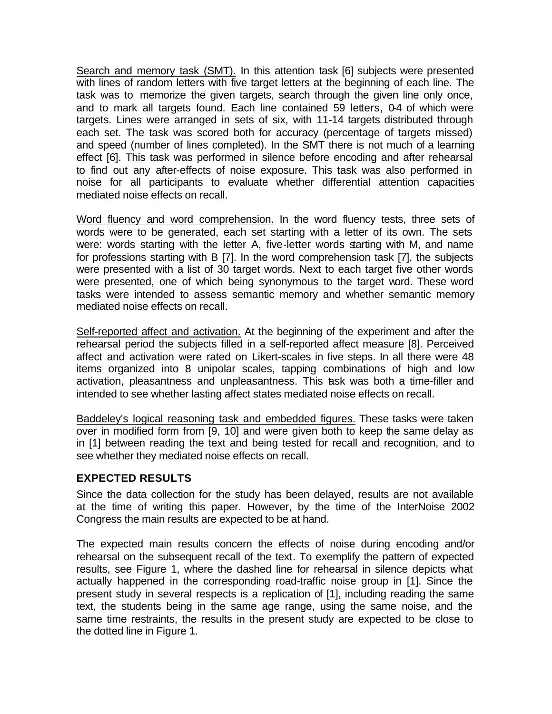Search and memory task (SMT). In this attention task [6] subjects were presented with lines of random letters with five target letters at the beginning of each line. The task was to memorize the given targets, search through the given line only once, and to mark all targets found. Each line contained 59 letters, 0-4 of which were targets. Lines were arranged in sets of six, with 11-14 targets distributed through each set. The task was scored both for accuracy (percentage of targets missed) and speed (number of lines completed). In the SMT there is not much of a learning effect [6]. This task was performed in silence before encoding and after rehearsal to find out any after-effects of noise exposure. This task was also performed in noise for all participants to evaluate whether differential attention capacities mediated noise effects on recall.

Word fluency and word comprehension. In the word fluency tests, three sets of words were to be generated, each set starting with a letter of its own. The sets were: words starting with the letter A, five-letter words starting with M, and name for professions starting with B [7]. In the word comprehension task [7], the subjects were presented with a list of 30 target words. Next to each target five other words were presented, one of which being synonymous to the target word. These word tasks were intended to assess semantic memory and whether semantic memory mediated noise effects on recall.

Self-reported affect and activation. At the beginning of the experiment and after the rehearsal period the subjects filled in a self-reported affect measure [8]. Perceived affect and activation were rated on Likert-scales in five steps. In all there were 48 items organized into 8 unipolar scales, tapping combinations of high and low activation, pleasantness and unpleasantness. This task was both a time-filler and intended to see whether lasting affect states mediated noise effects on recall.

Baddeley's logical reasoning task and embedded figures. These tasks were taken over in modified form from [9, 10] and were given both to keep the same delay as in [1] between reading the text and being tested for recall and recognition, and to see whether they mediated noise effects on recall.

## **EXPECTED RESULTS**

Since the data collection for the study has been delayed, results are not available at the time of writing this paper. However, by the time of the InterNoise 2002 Congress the main results are expected to be at hand.

The expected main results concern the effects of noise during encoding and/or rehearsal on the subsequent recall of the text. To exemplify the pattern of expected results, see Figure 1, where the dashed line for rehearsal in silence depicts what actually happened in the corresponding road-traffic noise group in [1]. Since the present study in several respects is a replication of [1], including reading the same text, the students being in the same age range, using the same noise, and the same time restraints, the results in the present study are expected to be close to the dotted line in Figure 1.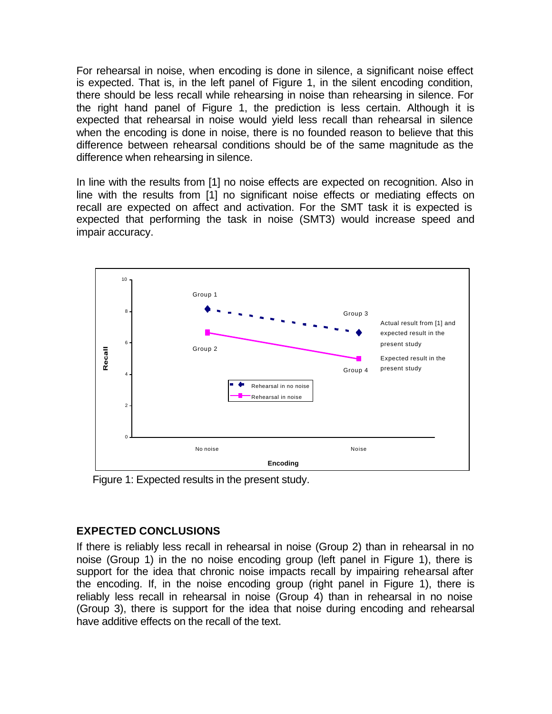For rehearsal in noise, when encoding is done in silence, a significant noise effect is expected. That is, in the left panel of Figure 1, in the silent encoding condition, there should be less recall while rehearsing in noise than rehearsing in silence. For the right hand panel of Figure 1, the prediction is less certain. Although it is expected that rehearsal in noise would yield less recall than rehearsal in silence when the encoding is done in noise, there is no founded reason to believe that this difference between rehearsal conditions should be of the same magnitude as the difference when rehearsing in silence.

In line with the results from [1] no noise effects are expected on recognition. Also in line with the results from [1] no significant noise effects or mediating effects on recall are expected on affect and activation. For the SMT task it is expected is expected that performing the task in noise (SMT3) would increase speed and impair accuracy.



Figure 1: Expected results in the present study.

# **EXPECTED CONCLUSIONS**

If there is reliably less recall in rehearsal in noise (Group 2) than in rehearsal in no noise (Group 1) in the no noise encoding group (left panel in Figure 1), there is support for the idea that chronic noise impacts recall by impairing rehearsal after the encoding. If, in the noise encoding group (right panel in Figure 1), there is reliably less recall in rehearsal in noise (Group 4) than in rehearsal in no noise (Group 3), there is support for the idea that noise during encoding and rehearsal have additive effects on the recall of the text.